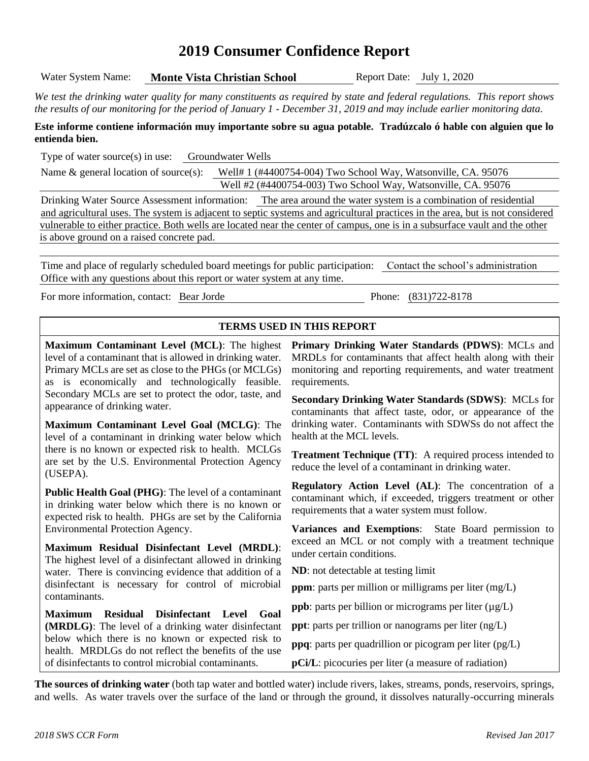# **2019 Consumer Confidence Report**

Water System Name: **Monte Vista Christian School** Report Date: July 1, 2020

*We test the drinking water quality for many constituents as required by state and federal regulations. This report shows the results of our monitoring for the period of January 1 - December 31, 2019 and may include earlier monitoring data.*

#### **Este informe contiene información muy importante sobre su agua potable. Tradúzcalo ó hable con alguien que lo entienda bien.**

Type of water source(s) in use: Groundwater Wells

Name & general location of source(s): Well# 1 (#4400754-004) Two School Way, Watsonville, CA. 95076 Well #2 (#4400754-003) Two School Way, Watsonville, CA. 95076

Drinking Water Source Assessment information: The area around the water system is a combination of residential and agricultural uses. The system is adjacent to septic systems and agricultural practices in the area, but is not considered vulnerable to either practice. Both wells are located near the center of campus, one is in a subsurface vault and the other is above ground on a raised concrete pad.

Time and place of regularly scheduled board meetings for public participation: Contact the school's administration Office with any questions about this report or water system at any time.

For more information, contact: Bear Jorde Phone: (831)722-8178

### **TERMS USED IN THIS REPORT**

**Maximum Contaminant Level (MCL)**: The highest level of a contaminant that is allowed in drinking water. Primary MCLs are set as close to the PHGs (or MCLGs) as is economically and technologically feasible. Secondary MCLs are set to protect the odor, taste, and appearance of drinking water.

**Maximum Contaminant Level Goal (MCLG)**: The level of a contaminant in drinking water below which there is no known or expected risk to health. MCLGs are set by the U.S. Environmental Protection Agency (USEPA).

**Public Health Goal (PHG)**: The level of a contaminant in drinking water below which there is no known or expected risk to health. PHGs are set by the California Environmental Protection Agency.

**Maximum Residual Disinfectant Level (MRDL)**: The highest level of a disinfectant allowed in drinking water. There is convincing evidence that addition of a disinfectant is necessary for control of microbial contaminants.

**Maximum Residual Disinfectant Level Goal (MRDLG)**: The level of a drinking water disinfectant below which there is no known or expected risk to health. MRDLGs do not reflect the benefits of the use of disinfectants to control microbial contaminants.

**Primary Drinking Water Standards (PDWS)**: MCLs and MRDLs for contaminants that affect health along with their monitoring and reporting requirements, and water treatment requirements.

**Secondary Drinking Water Standards (SDWS)**:MCLs for contaminants that affect taste, odor, or appearance of the drinking water. Contaminants with SDWSs do not affect the health at the MCL levels.

**Treatment Technique (TT)**: A required process intended to reduce the level of a contaminant in drinking water.

**Regulatory Action Level (AL)**: The concentration of a contaminant which, if exceeded, triggers treatment or other requirements that a water system must follow.

**Variances and Exemptions**: State Board permission to exceed an MCL or not comply with a treatment technique under certain conditions.

**ND**: not detectable at testing limit

**ppm**: parts per million or milligrams per liter (mg/L)

**ppb**: parts per billion or micrograms per liter ( $\mu$ g/L)

**ppt**: parts per trillion or nanograms per liter (ng/L)

**ppq**: parts per quadrillion or picogram per liter (pg/L)

**pCi/L**: picocuries per liter (a measure of radiation)

**The sources of drinking water** (both tap water and bottled water) include rivers, lakes, streams, ponds, reservoirs, springs, and wells. As water travels over the surface of the land or through the ground, it dissolves naturally-occurring minerals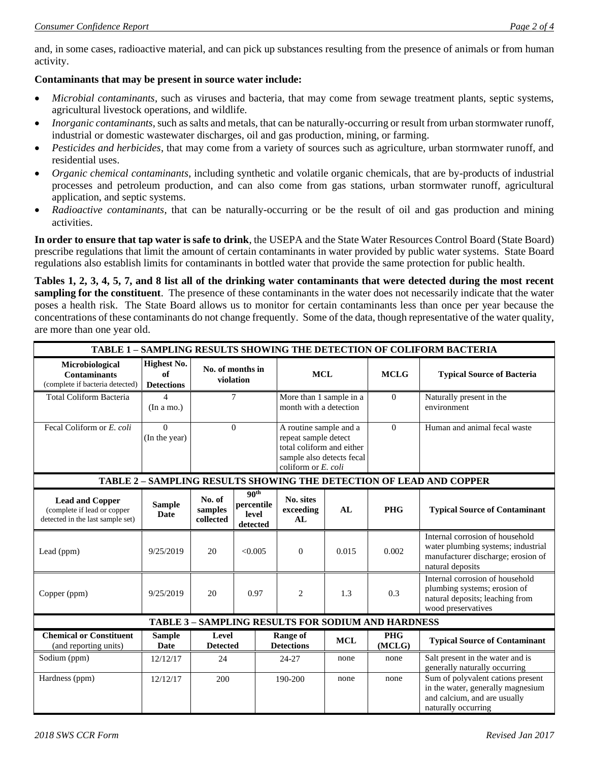and, in some cases, radioactive material, and can pick up substances resulting from the presence of animals or from human activity.

### **Contaminants that may be present in source water include:**

- *Microbial contaminants*, such as viruses and bacteria, that may come from sewage treatment plants, septic systems, agricultural livestock operations, and wildlife.
- *Inorganic contaminants*, such as salts and metals, that can be naturally-occurring or result from urban stormwater runoff, industrial or domestic wastewater discharges, oil and gas production, mining, or farming.
- *Pesticides and herbicides*, that may come from a variety of sources such as agriculture, urban stormwater runoff, and residential uses.
- *Organic chemical contaminants*, including synthetic and volatile organic chemicals, that are by-products of industrial processes and petroleum production, and can also come from gas stations, urban stormwater runoff, agricultural application, and septic systems.
- *Radioactive contaminants*, that can be naturally-occurring or be the result of oil and gas production and mining activities.

**In order to ensure that tap water is safe to drink**, the USEPA and the State Water Resources Control Board (State Board) prescribe regulations that limit the amount of certain contaminants in water provided by public water systems. State Board regulations also establish limits for contaminants in bottled water that provide the same protection for public health.

**Tables 1, 2, 3, 4, 5, 7, and 8 list all of the drinking water contaminants that were detected during the most recent sampling for the constituent**. The presence of these contaminants in the water does not necessarily indicate that the water poses a health risk. The State Board allows us to monitor for certain contaminants less than once per year because the concentrations of these contaminants do not change frequently. Some of the data, though representative of the water quality, are more than one year old.

| TABLE 1 - SAMPLING RESULTS SHOWING THE DETECTION OF COLIFORM BACTERIA                     |                                               |                                |                                                                  |                                                   |                                                                                                                                    |                      |                                                                                                                                 |
|-------------------------------------------------------------------------------------------|-----------------------------------------------|--------------------------------|------------------------------------------------------------------|---------------------------------------------------|------------------------------------------------------------------------------------------------------------------------------------|----------------------|---------------------------------------------------------------------------------------------------------------------------------|
| Microbiological<br><b>Contaminants</b><br>(complete if bacteria detected)                 | <b>Highest No.</b><br>of<br><b>Detections</b> |                                | No. of months in<br>violation                                    |                                                   | <b>MCL</b>                                                                                                                         |                      | <b>Typical Source of Bacteria</b>                                                                                               |
| <b>Total Coliform Bacteria</b>                                                            | 4<br>(In a mo.)                               |                                | 7                                                                | More than 1 sample in a<br>month with a detection |                                                                                                                                    | $\Omega$             | Naturally present in the<br>environment                                                                                         |
| Fecal Coliform or E. coli                                                                 | $\Omega$<br>(In the year)                     | $\Omega$                       |                                                                  |                                                   | A routine sample and a<br>repeat sample detect<br>total coliform and either<br>sample also detects fecal<br>coliform or $E$ , coli |                      | Human and animal fecal waste                                                                                                    |
| TABLE 2 - SAMPLING RESULTS SHOWING THE DETECTION OF LEAD AND COPPER                       |                                               |                                |                                                                  |                                                   |                                                                                                                                    |                      |                                                                                                                                 |
| <b>Lead and Copper</b><br>(complete if lead or copper<br>detected in the last sample set) | <b>Sample</b><br><b>Date</b>                  | No. of<br>samples<br>collected | 90 <sup>th</sup><br>percentile<br>level<br>detected              | No. sites<br>exceeding<br>AL                      | AL                                                                                                                                 | <b>PHG</b>           | <b>Typical Source of Contaminant</b>                                                                                            |
| Lead (ppm)                                                                                | 9/25/2019                                     | 20                             | < 0.005                                                          | $\overline{0}$                                    | 0.015                                                                                                                              | 0.002                | Internal corrosion of household<br>water plumbing systems; industrial<br>manufacturer discharge; erosion of<br>natural deposits |
| Copper (ppm)                                                                              | 9/25/2019                                     | 20                             | 0.97                                                             | $\overline{c}$                                    | 1.3                                                                                                                                | 0.3                  | Internal corrosion of household<br>plumbing systems; erosion of<br>natural deposits; leaching from<br>wood preservatives        |
| <b>TABLE 3 - SAMPLING RESULTS FOR SODIUM AND HARDNESS</b>                                 |                                               |                                |                                                                  |                                                   |                                                                                                                                    |                      |                                                                                                                                 |
| <b>Chemical or Constituent</b><br>(and reporting units)                                   | <b>Sample</b><br>Date                         |                                | Level<br><b>Range of</b><br><b>Detections</b><br><b>Detected</b> |                                                   | <b>MCL</b>                                                                                                                         | <b>PHG</b><br>(MCLG) | <b>Typical Source of Contaminant</b>                                                                                            |
| Sodium (ppm)                                                                              | 12/12/17                                      | 24                             |                                                                  | 24-27                                             | none                                                                                                                               | none                 | Salt present in the water and is<br>generally naturally occurring                                                               |
| Hardness (ppm)                                                                            | 12/12/17                                      | 200                            |                                                                  | 190-200                                           | none                                                                                                                               | none                 | Sum of polyvalent cations present<br>in the water, generally magnesium<br>and calcium, and are usually<br>naturally occurring   |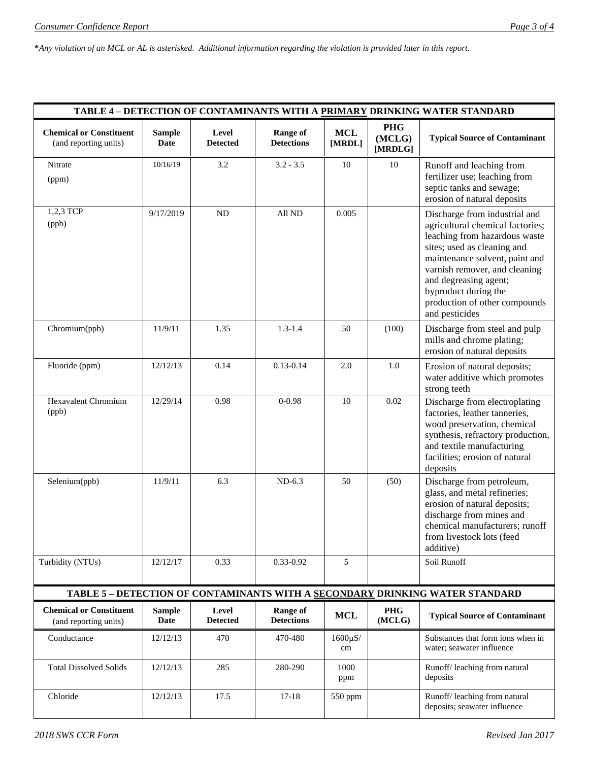**\****Any violation of an MCL or AL is asterisked. Additional information regarding the violation is provided later in this report.*

| TABLE 4 - DETECTION OF CONTAMINANTS WITH A PRIMARY DRINKING WATER STANDARD   |                       |                          |                                      |                      |                                 |                                                                                                                                                                                                                                                                                                          |  |
|------------------------------------------------------------------------------|-----------------------|--------------------------|--------------------------------------|----------------------|---------------------------------|----------------------------------------------------------------------------------------------------------------------------------------------------------------------------------------------------------------------------------------------------------------------------------------------------------|--|
| <b>Chemical or Constituent</b><br>(and reporting units)                      | <b>Sample</b><br>Date | Level<br><b>Detected</b> | <b>Range of</b><br><b>Detections</b> | <b>MCL</b><br>[MRDL] | <b>PHG</b><br>(MCLG)<br>[MRDLG] | <b>Typical Source of Contaminant</b>                                                                                                                                                                                                                                                                     |  |
| Nitrate<br>(ppm)                                                             | 10/16/19              | 3.2                      | $3.2 - 3.5$                          | 10                   | 10                              | Runoff and leaching from<br>fertilizer use; leaching from<br>septic tanks and sewage;<br>erosion of natural deposits                                                                                                                                                                                     |  |
| 1,2,3 TCP<br>(ppb)                                                           | 9/17/2019             | ND                       | All ND                               | 0.005                |                                 | Discharge from industrial and<br>agricultural chemical factories;<br>leaching from hazardous waste<br>sites; used as cleaning and<br>maintenance solvent, paint and<br>varnish remover, and cleaning<br>and degreasing agent;<br>byproduct during the<br>production of other compounds<br>and pesticides |  |
| Chromium(ppb)                                                                | 11/9/11               | 1.35                     | $1.3 - 1.4$                          | 50                   | (100)                           | Discharge from steel and pulp<br>mills and chrome plating;<br>erosion of natural deposits                                                                                                                                                                                                                |  |
| Fluoride (ppm)                                                               | 12/12/13              | 0.14                     | $0.13 - 0.14$                        | 2.0                  | 1.0                             | Erosion of natural deposits;<br>water additive which promotes<br>strong teeth                                                                                                                                                                                                                            |  |
| <b>Hexavalent Chromium</b><br>(ppb)                                          | 12/29/14              | 0.98                     | $0 - 0.98$                           | 10                   | 0.02                            | Discharge from electroplating<br>factories, leather tanneries,<br>wood preservation, chemical<br>synthesis, refractory production,<br>and textile manufacturing<br>facilities; erosion of natural<br>deposits                                                                                            |  |
| Selenium(ppb)                                                                | 11/9/11               | 6.3                      | $ND-6.3$                             | 50                   | (50)                            | Discharge from petroleum,<br>glass, and metal refineries;<br>erosion of natural deposits;<br>discharge from mines and<br>chemical manufacturers; runoff<br>from livestock lots (feed<br>additive)                                                                                                        |  |
| Turbidity (NTUs)                                                             | 12/12/17              | 0.33                     | 0.33-0.92                            | 5                    |                                 | Soil Runoff                                                                                                                                                                                                                                                                                              |  |
| TABLE 5 - DETECTION OF CONTAMINANTS WITH A SECONDARY DRINKING WATER STANDARD |                       |                          |                                      |                      |                                 |                                                                                                                                                                                                                                                                                                          |  |
| <b>Chemical or Constituent</b><br>(and reporting units)                      | <b>Sample</b><br>Date | Level<br><b>Detected</b> | <b>Range of</b><br><b>Detections</b> | <b>MCL</b>           | <b>PHG</b><br>(MCLG)            | <b>Typical Source of Contaminant</b>                                                                                                                                                                                                                                                                     |  |
| Conductance                                                                  | 12/12/13              | 470                      | 470-480                              | $1600\mu$ S/<br>cm   |                                 | Substances that form ions when in<br>water; seawater influence                                                                                                                                                                                                                                           |  |
| <b>Total Dissolved Solids</b>                                                | 12/12/13              | 285                      | 280-290                              | 1000<br>ppm          |                                 | Runoff/leaching from natural<br>deposits                                                                                                                                                                                                                                                                 |  |
| Chloride                                                                     | 12/12/13              | 17.5                     | $17 - 18$                            | 550 ppm              |                                 | Runoff/ leaching from natural<br>deposits; seawater influence                                                                                                                                                                                                                                            |  |